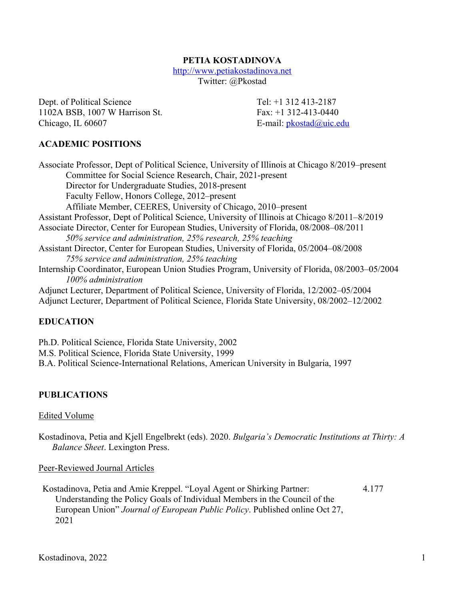## **PETIA KOSTADINOVA**

http://www.petiakostadinova.net

Twitter: @Pkostad

Dept. of Political Science Tel: +1 312 413-2187 1102A BSB, 1007 W Harrison St. Fax: +1 312-413-0440 Chicago, IL 60607 E-mail: pkostad@uic.edu

## **ACADEMIC POSITIONS**

Associate Professor, Dept of Political Science, University of Illinois at Chicago 8/2019–present Committee for Social Science Research, Chair, 2021-present Director for Undergraduate Studies, 2018-present Faculty Fellow, Honors College, 2012–present Affiliate Member, CEERES, University of Chicago, 2010–present Assistant Professor, Dept of Political Science, University of Illinois at Chicago 8/2011–8/2019 Associate Director, Center for European Studies, University of Florida, 08/2008–08/2011 *50% service and administration, 25% research, 25% teaching* Assistant Director, Center for European Studies, University of Florida, 05/2004–08/2008 *75% service and administration, 25% teaching* Internship Coordinator, European Union Studies Program, University of Florida, 08/2003–05/2004 *100% administration* Adjunct Lecturer, Department of Political Science, University of Florida, 12/2002–05/2004 Adjunct Lecturer, Department of Political Science, Florida State University, 08/2002–12/2002

## **EDUCATION**

Ph.D. Political Science, Florida State University, 2002 M.S. Political Science, Florida State University, 1999 B.A. Political Science-International Relations, American University in Bulgaria, 1997

# **PUBLICATIONS**

#### Edited Volume

Kostadinova, Petia and Kjell Engelbrekt (eds). 2020. *Bulgaria's Democratic Institutions at Thirty: A Balance Sheet*. Lexington Press.

Peer-Reviewed Journal Articles

Kostadinova, Petia and Amie Kreppel. "Loyal Agent or Shirking Partner: Understanding the Policy Goals of Individual Members in the Council of the European Union" *Journal of European Public Policy*. Published online Oct 27, 2021 4.177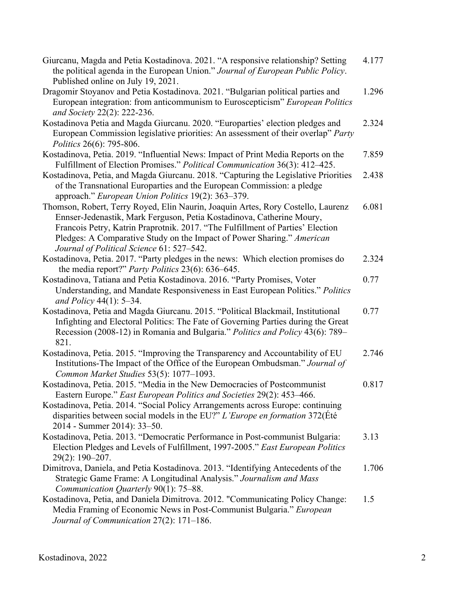| Giurcanu, Magda and Petia Kostadinova. 2021. "A responsive relationship? Setting<br>the political agenda in the European Union." Journal of European Public Policy.                                                                                                                                                                                                | 4.177 |
|--------------------------------------------------------------------------------------------------------------------------------------------------------------------------------------------------------------------------------------------------------------------------------------------------------------------------------------------------------------------|-------|
| Published online on July 19, 2021.                                                                                                                                                                                                                                                                                                                                 |       |
| Dragomir Stoyanov and Petia Kostadinova. 2021. "Bulgarian political parties and<br>European integration: from anticommunism to Euroscepticism" European Politics<br>and Society 22(2): 222-236.                                                                                                                                                                    | 1.296 |
| Kostadinova Petia and Magda Giurcanu. 2020. "Europarties' election pledges and<br>European Commission legislative priorities: An assessment of their overlap" Party<br>Politics 26(6): 795-806.                                                                                                                                                                    | 2.324 |
| Kostadinova, Petia. 2019. "Influential News: Impact of Print Media Reports on the<br>Fulfillment of Election Promises." Political Communication 36(3): 412–425.                                                                                                                                                                                                    | 7.859 |
| Kostadinova, Petia, and Magda Giurcanu. 2018. "Capturing the Legislative Priorities<br>of the Transnational Europarties and the European Commission: a pledge<br>approach." European Union Politics 19(2): 363–379.                                                                                                                                                | 2.438 |
| Thomson, Robert, Terry Royed, Elin Naurin, Joaquin Artes, Rory Costello, Laurenz<br>Ennser-Jedenastik, Mark Ferguson, Petia Kostadinova, Catherine Moury,<br>Francois Petry, Katrin Praprotnik. 2017. "The Fulfillment of Parties' Election<br>Pledges: A Comparative Study on the Impact of Power Sharing." American<br>Journal of Political Science 61: 527-542. | 6.081 |
| Kostadinova, Petia. 2017. "Party pledges in the news: Which election promises do<br>the media report?" Party Politics 23(6): 636-645.                                                                                                                                                                                                                              | 2.324 |
| Kostadinova, Tatiana and Petia Kostadinova. 2016. "Party Promises, Voter<br>Understanding, and Mandate Responsiveness in East European Politics." Politics<br>and Policy 44(1): $5-34$ .                                                                                                                                                                           | 0.77  |
| Kostadinova, Petia and Magda Giurcanu. 2015. "Political Blackmail, Institutional<br>Infighting and Electoral Politics: The Fate of Governing Parties during the Great<br>Recession (2008-12) in Romania and Bulgaria." Politics and Policy 43(6): 789–<br>821.                                                                                                     | 0.77  |
| Kostadinova, Petia. 2015. "Improving the Transparency and Accountability of EU<br>Institutions-The Impact of the Office of the European Ombudsman." Journal of<br>Common Market Studies 53(5): 1077-1093.                                                                                                                                                          | 2.746 |
| Kostadinova, Petia. 2015. "Media in the New Democracies of Postcommunist<br>Eastern Europe." East European Politics and Societies 29(2): 453-466.<br>Kostadinova, Petia. 2014. "Social Policy Arrangements across Europe: continuing<br>disparities between social models in the EU?" L'Europe en formation 372(Eté<br>2014 - Summer 2014): 33–50.                 | 0.817 |
| Kostadinova, Petia. 2013. "Democratic Performance in Post-communist Bulgaria:<br>Election Pledges and Levels of Fulfillment, 1997-2005." East European Politics<br>29(2): 190-207.                                                                                                                                                                                 | 3.13  |
| Dimitrova, Daniela, and Petia Kostadinova. 2013. "Identifying Antecedents of the<br>Strategic Game Frame: A Longitudinal Analysis." Journalism and Mass<br>Communication Quarterly 90(1): 75-88.                                                                                                                                                                   | 1.706 |
| Kostadinova, Petia, and Daniela Dimitrova. 2012. "Communicating Policy Change:<br>Media Framing of Economic News in Post-Communist Bulgaria." European<br>Journal of Communication 27(2): 171-186.                                                                                                                                                                 | 1.5   |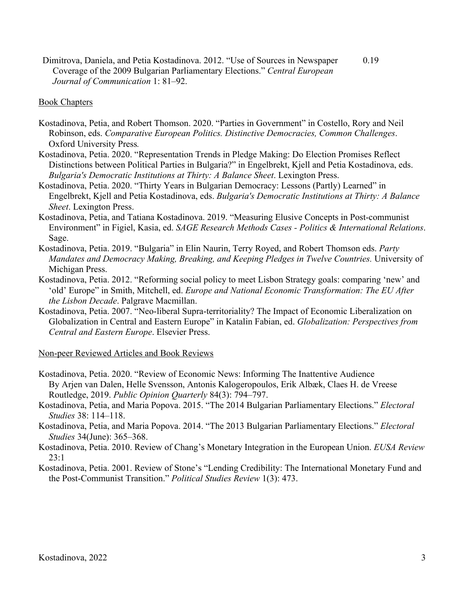Dimitrova, Daniela, and Petia Kostadinova. 2012. "Use of Sources in Newspaper Coverage of the 2009 Bulgarian Parliamentary Elections." *Central European Journal of Communication* 1: 81–92. 0.19

#### Book Chapters

- Kostadinova, Petia, and Robert Thomson. 2020. "Parties in Government" in Costello, Rory and Neil Robinson, eds. *Comparative European Politics. Distinctive Democracies, Common Challenges*. Oxford University Press*.*
- Kostadinova, Petia. 2020. "Representation Trends in Pledge Making: Do Election Promises Reflect Distinctions between Political Parties in Bulgaria?" in Engelbrekt, Kjell and Petia Kostadinova, eds. *Bulgaria's Democratic Institutions at Thirty: A Balance Sheet*. Lexington Press.
- Kostadinova, Petia. 2020. "Thirty Years in Bulgarian Democracy: Lessons (Partly) Learned" in Engelbrekt, Kjell and Petia Kostadinova, eds. *Bulgaria's Democratic Institutions at Thirty: A Balance Sheet*. Lexington Press.
- Kostadinova, Petia, and Tatiana Kostadinova. 2019. "Measuring Elusive Concepts in Post-communist Environment" in Figiel, Kasia, ed. *SAGE Research Methods Cases - Politics & International Relations*. Sage.
- Kostadinova, Petia. 2019. "Bulgaria" in Elin Naurin, Terry Royed, and Robert Thomson eds. *Party Mandates and Democracy Making, Breaking, and Keeping Pledges in Twelve Countries.* University of Michigan Press.
- Kostadinova, Petia. 2012. "Reforming social policy to meet Lisbon Strategy goals: comparing 'new' and 'old' Europe" in Smith, Mitchell, ed. *Europe and National Economic Transformation: The EU After the Lisbon Decade*. Palgrave Macmillan.
- Kostadinova, Petia. 2007. "Neo-liberal Supra-territoriality? The Impact of Economic Liberalization on Globalization in Central and Eastern Europe" in Katalin Fabian, ed. *Globalization: Perspectives from Central and Eastern Europe*. Elsevier Press.

#### Non-peer Reviewed Articles and Book Reviews

- Kostadinova, Petia. 2020. "Review of Economic News: Informing The Inattentive Audience By Arjen van Dalen, Helle Svensson, Antonis Kalogeropoulos, Erik Albæk, Claes H. de Vreese Routledge, 2019. *Public Opinion Quarterly* 84(3): 794–797.
- Kostadinova, Petia, and Maria Popova. 2015. "The 2014 Bulgarian Parliamentary Elections." *Electoral Studies* 38: 114–118.
- Kostadinova, Petia, and Maria Popova. 2014. "The 2013 Bulgarian Parliamentary Elections." *Electoral Studies* 34(June): 365–368.
- Kostadinova, Petia. 2010. Review of Chang's Monetary Integration in the European Union. *EUSA Review* 23:1
- Kostadinova, Petia. 2001. Review of Stone's "Lending Credibility: The International Monetary Fund and the Post-Communist Transition." *Political Studies Review* 1(3): 473.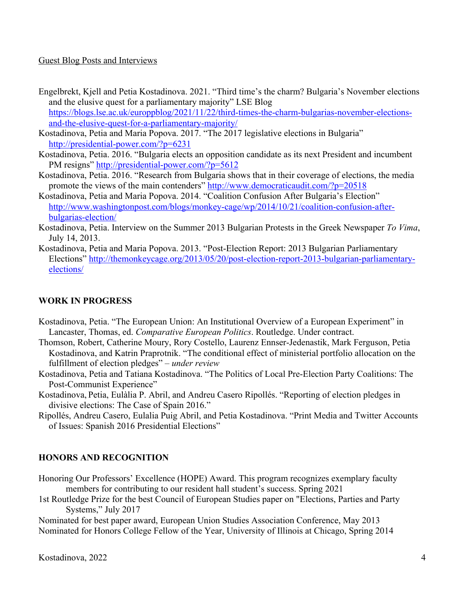#### Guest Blog Posts and Interviews

- Engelbrekt, Kjell and Petia Kostadinova. 2021. "Third time's the charm? Bulgaria's November elections and the elusive quest for a parliamentary majority" LSE Blog https://blogs.lse.ac.uk/europpblog/2021/11/22/third-times-the-charm-bulgarias-november-electionsand-the-elusive-quest-for-a-parliamentary-majority/
- Kostadinova, Petia and Maria Popova. 2017. "The 2017 legislative elections in Bulgaria" http://presidential-power.com/?p=6231
- Kostadinova, Petia. 2016. "Bulgaria elects an opposition candidate as its next President and incumbent PM resigns" http://presidential-power.com/?p=5612
- Kostadinova, Petia. 2016. "Research from Bulgaria shows that in their coverage of elections, the media promote the views of the main contenders" http://www.democraticaudit.com/?p=20518
- Kostadinova, Petia and Maria Popova. 2014. "Coalition Confusion After Bulgaria's Election" http://www.washingtonpost.com/blogs/monkey-cage/wp/2014/10/21/coalition-confusion-afterbulgarias-election/
- Kostadinova, Petia. Interview on the Summer 2013 Bulgarian Protests in the Greek Newspaper *To Vima*, July 14, 2013.
- Kostadinova, Petia and Maria Popova. 2013. "Post-Election Report: 2013 Bulgarian Parliamentary Elections" http://themonkeycage.org/2013/05/20/post-election-report-2013-bulgarian-parliamentaryelections/

## **WORK IN PROGRESS**

- Kostadinova, Petia. "The European Union: An Institutional Overview of a European Experiment" in Lancaster, Thomas, ed. *Comparative European Politics*. Routledge. Under contract.
- Thomson, Robert, Catherine Moury, Rory Costello, Laurenz Ennser-Jedenastik, Mark Ferguson, Petia Kostadinova, and Katrin Praprotnik. "The conditional effect of ministerial portfolio allocation on the fulfillment of election pledges" – *under review*
- Kostadinova, Petia and Tatiana Kostadinova. "The Politics of Local Pre-Election Party Coalitions: The Post-Communist Experience"
- Kostadinova, Petia, Eulàlia P. Abril, and Andreu Casero Ripollés. "Reporting of election pledges in divisive elections: The Case of Spain 2016."
- Ripollés, Andreu Casero, Eulalia Puig Abril, and Petia Kostadinova. "Print Media and Twitter Accounts of Issues: Spanish 2016 Presidential Elections"

## **HONORS AND RECOGNITION**

- Honoring Our Professors' Excellence (HOPE) Award. This program recognizes exemplary faculty members for contributing to our resident hall student's success. Spring 2021
- 1st Routledge Prize for the best Council of European Studies paper on "Elections, Parties and Party Systems," July 2017

Nominated for best paper award, European Union Studies Association Conference, May 2013 Nominated for Honors College Fellow of the Year, University of Illinois at Chicago, Spring 2014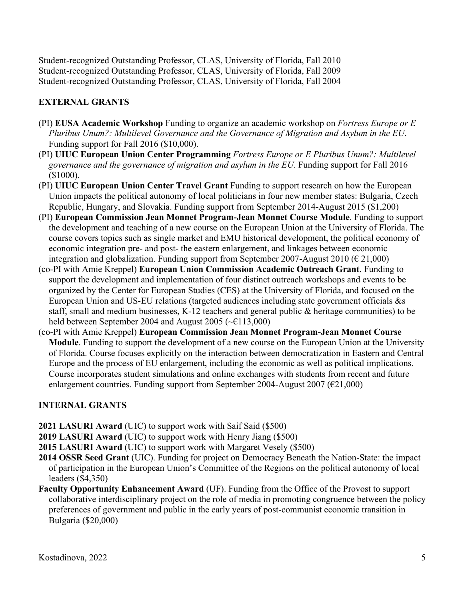Student-recognized Outstanding Professor, CLAS, University of Florida, Fall 2010 Student-recognized Outstanding Professor, CLAS, University of Florida, Fall 2009 Student-recognized Outstanding Professor, CLAS, University of Florida, Fall 2004

# **EXTERNAL GRANTS**

- (PI) **EUSA Academic Workshop** Funding to organize an academic workshop on *Fortress Europe or E Pluribus Unum?: Multilevel Governance and the Governance of Migration and Asylum in the EU*. Funding support for Fall 2016 (\$10,000).
- (PI) **UIUC European Union Center Programming** *Fortress Europe or E Pluribus Unum?: Multilevel governance and the governance of migration and asylum in the EU*. Funding support for Fall 2016 (\$1000).
- (PI) **UIUC European Union Center Travel Grant** Funding to support research on how the European Union impacts the political autonomy of local politicians in four new member states: Bulgaria, Czech Republic, Hungary, and Slovakia. Funding support from September 2014-August 2015 (\$1,200)
- (PI) **European Commission Jean Monnet Program-Jean Monnet Course Module**. Funding to support the development and teaching of a new course on the European Union at the University of Florida. The course covers topics such as single market and EMU historical development, the political economy of economic integration pre- and post- the eastern enlargement, and linkages between economic integration and globalization. Funding support from September 2007-August 2010 ( $\epsilon$  21,000)
- (co-PI with Amie Kreppel) **European Union Commission Academic Outreach Grant**. Funding to support the development and implementation of four distinct outreach workshops and events to be organized by the Center for European Studies (CES) at the University of Florida, and focused on the European Union and US-EU relations (targeted audiences including state government officials &s staff, small and medium businesses, K-12 teachers and general public & heritage communities) to be held between September 2004 and August 2005 (~€113,000)
- (co-PI with Amie Kreppel) **European Commission Jean Monnet Program-Jean Monnet Course Module**. Funding to support the development of a new course on the European Union at the University of Florida. Course focuses explicitly on the interaction between democratization in Eastern and Central Europe and the process of EU enlargement, including the economic as well as political implications. Course incorporates student simulations and online exchanges with students from recent and future enlargement countries. Funding support from September 2004-August 2007 ( $E$ 21,000)

# **INTERNAL GRANTS**

- **2021 LASURI Award** (UIC) to support work with Saif Said (\$500)
- **2019 LASURI Award** (UIC) to support work with Henry Jiang (\$500)
- **2015 LASURI Award** (UIC) to support work with Margaret Vesely (\$500)
- **2014 OSSR Seed Grant** (UIC). Funding for project on Democracy Beneath the Nation-State: the impact of participation in the European Union's Committee of the Regions on the political autonomy of local leaders (\$4,350)
- **Faculty Opportunity Enhancement Award** (UF). Funding from the Office of the Provost to support collaborative interdisciplinary project on the role of media in promoting congruence between the policy preferences of government and public in the early years of post-communist economic transition in Bulgaria (\$20,000)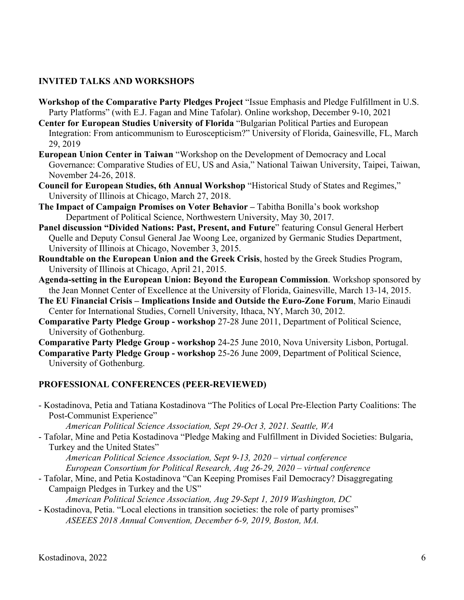## **INVITED TALKS AND WORKSHOPS**

- **Workshop of the Comparative Party Pledges Project** "Issue Emphasis and Pledge Fulfillment in U.S. Party Platforms" (with E.J. Fagan and Mine Tafolar). Online workshop, December 9-10, 2021
- **Center for European Studies University of Florida** "Bulgarian Political Parties and European Integration: From anticommunism to Euroscepticism?" University of Florida, Gainesville, FL, March 29, 2019
- **European Union Center in Taiwan** "Workshop on the Development of Democracy and Local Governance: Comparative Studies of EU, US and Asia," National Taiwan University, Taipei, Taiwan, November 24-26, 2018.
- **Council for European Studies, 6th Annual Workshop** "Historical Study of States and Regimes," University of Illinois at Chicago, March 27, 2018.
- **The Impact of Campaign Promises on Voter Behavior –** Tabitha Bonilla's book workshop Department of Political Science, Northwestern University, May 30, 2017.
- **Panel discussion "Divided Nations: Past, Present, and Future**" featuring Consul General Herbert Quelle and Deputy Consul General Jae Woong Lee, organized by Germanic Studies Department, University of Illinois at Chicago, November 3, 2015.
- **Roundtable on the European Union and the Greek Crisis**, hosted by the Greek Studies Program, University of Illinois at Chicago, April 21, 2015.
- **Agenda-setting in the European Union: Beyond the European Commission**. Workshop sponsored by the Jean Monnet Center of Excellence at the University of Florida, Gainesville, March 13-14, 2015.
- **The EU Financial Crisis – Implications Inside and Outside the Euro-Zone Forum**, Mario Einaudi Center for International Studies, Cornell University, Ithaca, NY, March 30, 2012.
- **Comparative Party Pledge Group - workshop** 27-28 June 2011, Department of Political Science, University of Gothenburg.

**Comparative Party Pledge Group - workshop** 24-25 June 2010, Nova University Lisbon, Portugal.

**Comparative Party Pledge Group - workshop** 25-26 June 2009, Department of Political Science, University of Gothenburg.

## **PROFESSIONAL CONFERENCES (PEER-REVIEWED)**

- Kostadinova, Petia and Tatiana Kostadinova "The Politics of Local Pre-Election Party Coalitions: The Post-Communist Experience"

*American Political Science Association, Sept 29-Oct 3, 2021. Seattle, WA*

- Tafolar, Mine and Petia Kostadinova "Pledge Making and Fulfillment in Divided Societies: Bulgaria, Turkey and the United States"

*American Political Science Association, Sept 9-13, 2020 – virtual conference European Consortium for Political Research, Aug 26-29, 2020 – virtual conference* 

- Tafolar, Mine, and Petia Kostadinova "Can Keeping Promises Fail Democracy? Disaggregating Campaign Pledges in Turkey and the US"

*American Political Science Association, Aug 29-Sept 1, 2019 Washington, DC*

- Kostadinova, Petia. "Local elections in transition societies: the role of party promises"

*ASEEES 2018 Annual Convention, December 6-9, 2019, Boston, MA.*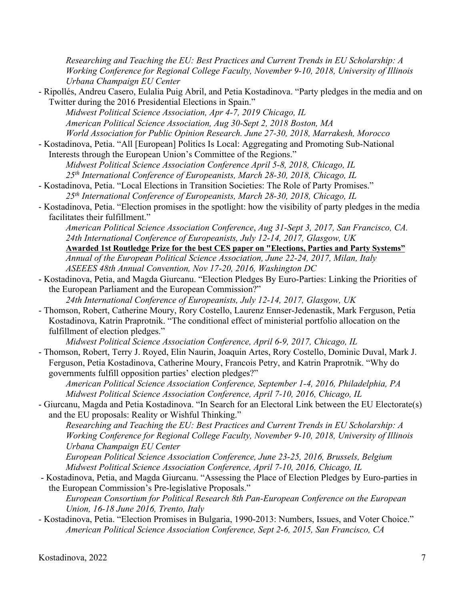*Researching and Teaching the EU: Best Practices and Current Trends in EU Scholarship: A Working Conference for Regional College Faculty, November 9-10, 2018, University of Illinois Urbana Champaign EU Center*

- Ripollés, Andreu Casero, Eulalia Puig Abril, and Petia Kostadinova. "Party pledges in the media and on Twitter during the 2016 Presidential Elections in Spain."

*Midwest Political Science Association, Apr 4-7, 2019 Chicago, IL American Political Science Association, Aug 30-Sept 2, 2018 Boston, MA World Association for Public Opinion Research. June 27-30, 2018, Marrakesh, Morocco*

- Kostadinova, Petia. "All [European] Politics Is Local: Aggregating and Promoting Sub-National Interests through the European Union's Committee of the Regions." *Midwest Political Science Association Conference April 5-8, 2018, Chicago, IL 25th International Conference of Europeanists, March 28-30, 2018, Chicago, IL*
- Kostadinova, Petia. "Local Elections in Transition Societies: The Role of Party Promises." *25th International Conference of Europeanists, March 28-30, 2018, Chicago, IL*
- Kostadinova, Petia. "Election promises in the spotlight: how the visibility of party pledges in the media facilitates their fulfillment."

*American Political Science Association Conference*, *Aug 31-Sept 3, 2017, San Francisco, CA. 24th International Conference of Europeanists, July 12-14, 2017, Glasgow, UK*

**Awarded 1st Routledge Prize for the best CES paper on "Elections, Parties and Party Systems"**  *Annual of the European Political Science Association, June 22-24, 2017, Milan, Italy ASEEES 48th Annual Convention, Nov 17-20, 2016, Washington DC*

- Kostadinova, Petia, and Magda Giurcanu. "Election Pledges By Euro-Parties: Linking the Priorities of the European Parliament and the European Commission?"

*24th International Conference of Europeanists, July 12-14, 2017, Glasgow, UK*

- Thomson, Robert, Catherine Moury, Rory Costello, Laurenz Ennser-Jedenastik, Mark Ferguson, Petia Kostadinova, Katrin Praprotnik. "The conditional effect of ministerial portfolio allocation on the fulfillment of election pledges."

*Midwest Political Science Association Conference, April 6-9, 2017, Chicago, IL* 

- Thomson, Robert, Terry J. Royed, Elin Naurin, Joaquin Artes, Rory Costello, Dominic Duval, Mark J. Ferguson, Petia Kostadinova, Catherine Moury, Francois Petry, and Katrin Praprotnik. "Why do governments fulfill opposition parties' election pledges?"

*American Political Science Association Conference, September 1-4, 2016, Philadelphia, PA Midwest Political Science Association Conference, April 7-10, 2016, Chicago, IL*

- Giurcanu, Magda and Petia Kostadinova. "In Search for an Electoral Link between the EU Electorate(s) and the EU proposals: Reality or Wishful Thinking."

*Researching and Teaching the EU: Best Practices and Current Trends in EU Scholarship: A Working Conference for Regional College Faculty, November 9-10, 2018, University of Illinois Urbana Champaign EU Center*

*European Political Science Association Conference, June 23-25, 2016, Brussels, Belgium Midwest Political Science Association Conference, April 7-10, 2016, Chicago, IL*

- Kostadinova, Petia, and Magda Giurcanu. "Assessing the Place of Election Pledges by Euro-parties in the European Commission's Pre-legislative Proposals."

*European Consortium for Political Research 8th Pan-European Conference on the European Union, 16-18 June 2016, Trento, Italy*

*-* Kostadinova, Petia. "Election Promises in Bulgaria, 1990-2013: Numbers, Issues, and Voter Choice." *American Political Science Association Conference, Sept 2-6, 2015, San Francisco, CA*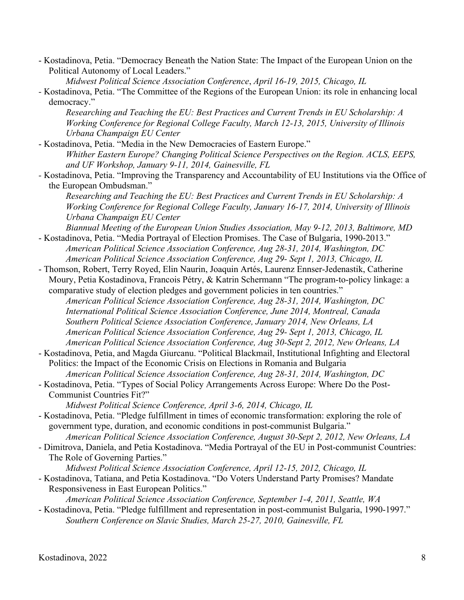- Kostadinova, Petia. "Democracy Beneath the Nation State: The Impact of the European Union on the Political Autonomy of Local Leaders."

*Midwest Political Science Association Conference*, *April 16-19, 2015, Chicago, IL*

*-* Kostadinova, Petia. "The Committee of the Regions of the European Union: its role in enhancing local democracy."

*Researching and Teaching the EU: Best Practices and Current Trends in EU Scholarship: A Working Conference for Regional College Faculty, March 12-13, 2015, University of Illinois Urbana Champaign EU Center*

- Kostadinova, Petia. "Media in the New Democracies of Eastern Europe." *Whither Eastern Europe? Changing Political Science Perspectives on the Region. ACLS, EEPS, and UF Workshop, January 9-11, 2014, Gainesville, FL*

*-* Kostadinova, Petia. "Improving the Transparency and Accountability of EU Institutions via the Office of the European Ombudsman."

*Researching and Teaching the EU: Best Practices and Current Trends in EU Scholarship: A Working Conference for Regional College Faculty, January 16-17, 2014, University of Illinois Urbana Champaign EU Center*

*Biannual Meeting of the European Union Studies Association, May 9-12, 2013, Baltimore, MD* - Kostadinova, Petia. "Media Portrayal of Election Promises. The Case of Bulgaria, 1990-2013."

- *American Political Science Association Conference, Aug 28-31, 2014, Washington, DC American Political Science Association Conference, Aug 29- Sept 1, 2013, Chicago, IL*
- Thomson, Robert, Terry Royed, Elin Naurin, Joaquin Artés, Laurenz Ennser-Jedenastik, Catherine Moury, Petia Kostadinova, Francois Pétry, & Katrin Schermann "The program-to-policy linkage: a comparative study of election pledges and government policies in ten countries."
	- *American Political Science Association Conference, Aug 28-31, 2014, Washington, DC International Political Science Association Conference, June 2014, Montreal, Canada Southern Political Science Association Conference, January 2014, New Orleans, LA American Political Science Association Conference, Aug 29- Sept 1, 2013, Chicago, IL American Political Science Association Conference, Aug 30-Sept 2, 2012, New Orleans, LA*
- Kostadinova, Petia, and Magda Giurcanu. "Political Blackmail, Institutional Infighting and Electoral Politics: the Impact of the Economic Crisis on Elections in Romania and Bulgaria *American Political Science Association Conference, Aug 28-31, 2014, Washington, DC*
- Kostadinova, Petia. "Types of Social Policy Arrangements Across Europe: Where Do the Post-Communist Countries Fit?"

*Midwest Political Science Conference, April 3-6, 2014, Chicago, IL*

- Kostadinova, Petia. "Pledge fulfillment in times of economic transformation: exploring the role of government type, duration, and economic conditions in post-communist Bulgaria."

*American Political Science Association Conference, August 30-Sept 2, 2012, New Orleans, LA*

- Dimitrova, Daniela, and Petia Kostadinova. "Media Portrayal of the EU in Post-communist Countries: The Role of Governing Parties."

*Midwest Political Science Association Conference, April 12-15, 2012, Chicago, IL*

- Kostadinova, Tatiana, and Petia Kostadinova. "Do Voters Understand Party Promises? Mandate Responsiveness in East European Politics."

*American Political Science Association Conference, September 1-4, 2011, Seattle, WA*

- Kostadinova, Petia. "Pledge fulfillment and representation in post-communist Bulgaria, 1990-1997." *Southern Conference on Slavic Studies, March 25-27, 2010, Gainesville, FL*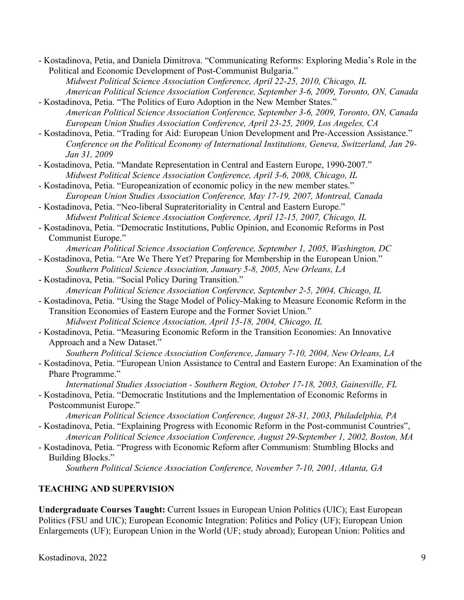- Kostadinova, Petia, and Daniela Dimitrova. "Communicating Reforms: Exploring Media's Role in the Political and Economic Development of Post-Communist Bulgaria."

*Midwest Political Science Association Conference, April 22-25, 2010, Chicago, IL American Political Science Association Conference, September 3-6, 2009, Toronto, ON, Canada*

- Kostadinova, Petia. "The Politics of Euro Adoption in the New Member States." *American Political Science Association Conference, September 3-6, 2009, Toronto, ON, Canada European Union Studies Association Conference, April 23-25, 2009, Los Angeles, CA*

- Kostadinova, Petia. "Trading for Aid: European Union Development and Pre-Accession Assistance." *Conference on the Political Economy of International Institutions, Geneva, Switzerland, Jan 29- Jan 31, 2009*
- Kostadinova, Petia. "Mandate Representation in Central and Eastern Europe, 1990-2007." *Midwest Political Science Association Conference, April 3-6, 2008, Chicago, IL*
- Kostadinova, Petia. "Europeanization of economic policy in the new member states." *European Union Studies Association Conference, May 17-19, 2007, Montreal, Canada*
- Kostadinova, Petia. "Neo-liberal Suprateritoriality in Central and Eastern Europe." *Midwest Political Science Association Conference, April 12-15, 2007, Chicago, IL*
- Kostadinova, Petia. "Democratic Institutions, Public Opinion, and Economic Reforms in Post Communist Europe."
- *American Political Science Association Conference, September 1, 2005, Washington, DC* - Kostadinova, Petia. "Are We There Yet? Preparing for Membership in the European Union."
- *Southern Political Science Association, January 5-8, 2005, New Orleans, LA*
- Kostadinova, Petia. "Social Policy During Transition." *American Political Science Association Conference, September 2-5, 2004, Chicago, IL*
- Kostadinova, Petia. "Using the Stage Model of Policy-Making to Measure Economic Reform in the Transition Economies of Eastern Europe and the Former Soviet Union." *Midwest Political Science Association, April 15-18, 2004, Chicago, IL*
- Kostadinova, Petia. "Measuring Economic Reform in the Transition Economies: An Innovative Approach and a New Dataset."

*Southern Political Science Association Conference, January 7-10, 2004, New Orleans, LA*

- Kostadinova, Petia. "European Union Assistance to Central and Eastern Europe: An Examination of the Phare Programme."

*International Studies Association - Southern Region, October 17-18, 2003, Gainesville, FL*

- Kostadinova, Petia. "Democratic Institutions and the Implementation of Economic Reforms in Postcommunist Europe."

*American Political Science Association Conference, August 28-31, 2003, Philadelphia, PA*

- Kostadinova, Petia. "Explaining Progress with Economic Reform in the Post-communist Countries", *American Political Science Association Conference, August 29-September 1, 2002, Boston, MA*
- Kostadinova, Petia. "Progress with Economic Reform after Communism: Stumbling Blocks and Building Blocks."

*Southern Political Science Association Conference, November 7-10, 2001, Atlanta, GA*

# **TEACHING AND SUPERVISION**

**Undergraduate Courses Taught:** Current Issues in European Union Politics (UIC); East European Politics (FSU and UIC); European Economic Integration: Politics and Policy (UF); European Union Enlargements (UF); European Union in the World (UF; study abroad); European Union: Politics and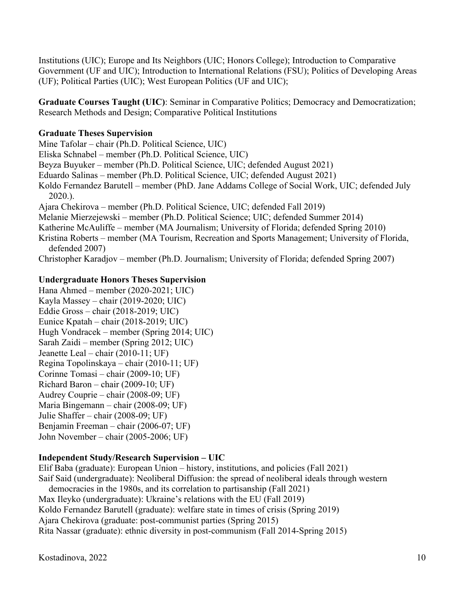Institutions (UIC); Europe and Its Neighbors (UIC; Honors College); Introduction to Comparative Government (UF and UIC); Introduction to International Relations (FSU); Politics of Developing Areas (UF); Political Parties (UIC); West European Politics (UF and UIC);

**Graduate Courses Taught (UIC)**: Seminar in Comparative Politics; Democracy and Democratization; Research Methods and Design; Comparative Political Institutions

## **Graduate Theses Supervision**

Mine Tafolar – chair (Ph.D. Political Science, UIC) Eliska Schnabel – member (Ph.D. Political Science, UIC) Beyza Buyuker – member (Ph.D. Political Science, UIC; defended August 2021) Eduardo Salinas – member (Ph.D. Political Science, UIC; defended August 2021) Koldo Fernandez Barutell – member (PhD. Jane Addams College of Social Work, UIC; defended July 2020.). Ajara Chekirova – member (Ph.D. Political Science, UIC; defended Fall 2019) Melanie Mierzejewski – member (Ph.D. Political Science; UIC; defended Summer 2014) Katherine McAuliffe – member (MA Journalism; University of Florida; defended Spring 2010) Kristina Roberts – member (MA Tourism, Recreation and Sports Management; University of Florida,

defended 2007) Christopher Karadjov – member (Ph.D. Journalism; University of Florida; defended Spring 2007)

## **Undergraduate Honors Theses Supervision**

Hana Ahmed – member (2020-2021; UIC) Kayla Massey – chair (2019-2020; UIC) Eddie Gross – chair (2018-2019; UIC) Eunice Kpatah – chair (2018-2019; UIC) Hugh Vondracek – member (Spring 2014; UIC) Sarah Zaidi – member (Spring 2012; UIC) Jeanette Leal – chair (2010-11; UF) Regina Topolinskaya – chair (2010-11; UF) Corinne Tomasi – chair (2009-10; UF) Richard Baron – chair (2009-10; UF) Audrey Couprie – chair (2008-09; UF) Maria Bingemann – chair (2008-09; UF) Julie Shaffer – chair (2008-09; UF) Benjamin Freeman – chair (2006-07; UF) John November – chair (2005-2006; UF)

## **Independent Study/Research Supervision – UIC**

Elif Baba (graduate): European Union – history, institutions, and policies (Fall 2021) Saif Said (undergraduate): Neoliberal Diffusion: the spread of neoliberal ideals through western democracies in the 1980s, and its correlation to partisanship (Fall 2021) Max Ileyko (undergraduate): Ukraine's relations with the EU (Fall 2019) Koldo Fernandez Barutell (graduate): welfare state in times of crisis (Spring 2019) Ajara Chekirova (graduate: post-communist parties (Spring 2015) Rita Nassar (graduate): ethnic diversity in post-communism (Fall 2014-Spring 2015)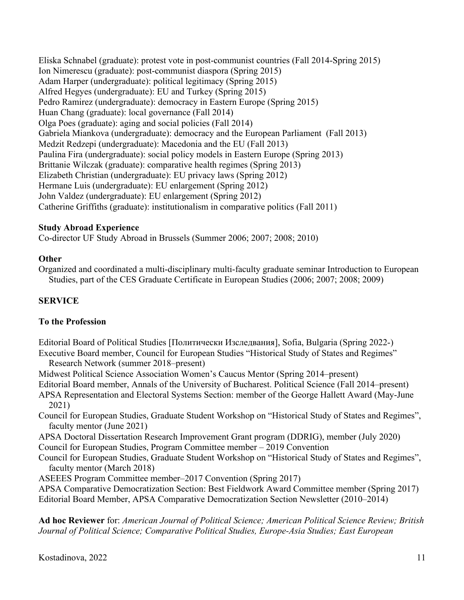Eliska Schnabel (graduate): protest vote in post-communist countries (Fall 2014-Spring 2015) Ion Nimerescu (graduate): post-communist diaspora (Spring 2015) Adam Harper (undergraduate): political legitimacy (Spring 2015) Alfred Hegyes (undergraduate): EU and Turkey (Spring 2015) Pedro Ramirez (undergraduate): democracy in Eastern Europe (Spring 2015) Huan Chang (graduate): local governance (Fall 2014) Olga Poes (graduate): aging and social policies (Fall 2014) Gabriela Miankova (undergraduate): democracy and the European Parliament (Fall 2013) Medzit Redzepi (undergraduate): Macedonia and the EU (Fall 2013) Paulina Fira (undergraduate): social policy models in Eastern Europe (Spring 2013) Brittanie Wilczak (graduate): comparative health regimes (Spring 2013) Elizabeth Christian (undergraduate): EU privacy laws (Spring 2012) Hermane Luis (undergraduate): EU enlargement (Spring 2012) John Valdez (undergraduate): EU enlargement (Spring 2012) Catherine Griffiths (graduate): institutionalism in comparative politics (Fall 2011)

### **Study Abroad Experience**

Co-director UF Study Abroad in Brussels (Summer 2006; 2007; 2008; 2010)

#### **Other**

Organized and coordinated a multi-disciplinary multi-faculty graduate seminar Introduction to European Studies, part of the CES Graduate Certificate in European Studies (2006; 2007; 2008; 2009)

#### **SERVICE**

#### **To the Profession**

Editorial Board of Political Studies [Политически Изследвания], Sofia, Bulgaria (Spring 2022-) Executive Board member, Council for European Studies "Historical Study of States and Regimes" Research Network (summer 2018–present)

Midwest Political Science Association Women's Caucus Mentor (Spring 2014–present)

Editorial Board member, Annals of the University of Bucharest. Political Science (Fall 2014–present)

- APSA Representation and Electoral Systems Section: member of the George Hallett Award (May-June 2021)
- Council for European Studies, Graduate Student Workshop on "Historical Study of States and Regimes", faculty mentor (June 2021)
- APSA Doctoral Dissertation Research Improvement Grant program (DDRIG), member (July 2020) Council for European Studies, Program Committee member – 2019 Convention
- Council for European Studies, Graduate Student Workshop on "Historical Study of States and Regimes", faculty mentor (March 2018)
- ASEEES Program Committee member–2017 Convention (Spring 2017)

APSA Comparative Democratization Section: Best Fieldwork Award Committee member (Spring 2017) Editorial Board Member, APSA Comparative Democratization Section Newsletter (2010–2014)

**Ad hoc Reviewer** for: *American Journal of Political Science; American Political Science Review; British Journal of Political Science; Comparative Political Studies, Europe-Asia Studies; East European*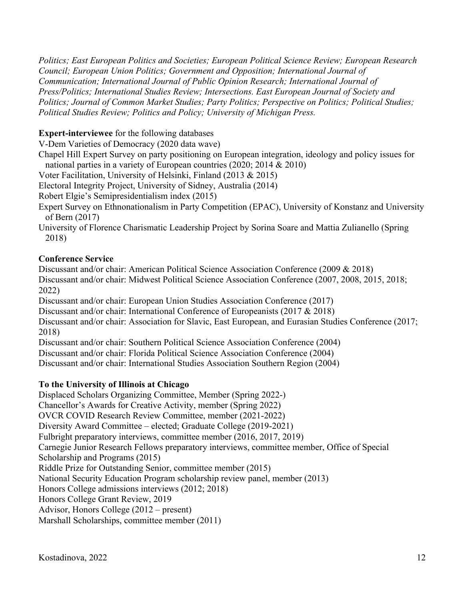*Politics; East European Politics and Societies; European Political Science Review; European Research Council; European Union Politics; Government and Opposition; International Journal of Communication; International Journal of Public Opinion Research; International Journal of Press/Politics; International Studies Review; Intersections. East European Journal of Society and Politics; Journal of Common Market Studies; Party Politics; Perspective on Politics; Political Studies; Political Studies Review; Politics and Policy; University of Michigan Press.* 

## **Expert-interviewee** for the following databases

V-Dem Varieties of Democracy (2020 data wave)

Chapel Hill Expert Survey on party positioning on European integration, ideology and policy issues for national parties in a variety of European countries (2020; 2014 & 2010)

Voter Facilitation, University of Helsinki, Finland (2013 & 2015)

Electoral Integrity Project, University of Sidney, Australia (2014)

Robert Elgie's Semipresidentialism index (2015)

Expert Survey on Ethnonationalism in Party Competition (EPAC), University of Konstanz and University of Bern (2017)

University of Florence Charismatic Leadership Project by Sorina Soare and Mattia Zulianello (Spring 2018)

## **Conference Service**

Discussant and/or chair: American Political Science Association Conference (2009 & 2018) Discussant and/or chair: Midwest Political Science Association Conference (2007, 2008, 2015, 2018; 2022) Discussant and/or chair: European Union Studies Association Conference (2017)

Discussant and/or chair: International Conference of Europeanists (2017 & 2018)

Discussant and/or chair: Association for Slavic, East European, and Eurasian Studies Conference (2017; 2018)

Discussant and/or chair: Southern Political Science Association Conference (2004)

Discussant and/or chair: Florida Political Science Association Conference (2004)

Discussant and/or chair: International Studies Association Southern Region (2004)

# **To the University of Illinois at Chicago**

Displaced Scholars Organizing Committee, Member (Spring 2022-) Chancellor's Awards for Creative Activity, member (Spring 2022) OVCR COVID Research Review Committee, member (2021-2022) Diversity Award Committee – elected; Graduate College (2019-2021) Fulbright preparatory interviews, committee member (2016, 2017, 2019) Carnegie Junior Research Fellows preparatory interviews, committee member, Office of Special Scholarship and Programs (2015) Riddle Prize for Outstanding Senior, committee member (2015) National Security Education Program scholarship review panel, member (2013) Honors College admissions interviews (2012; 2018) Honors College Grant Review, 2019 Advisor, Honors College (2012 – present) Marshall Scholarships, committee member (2011)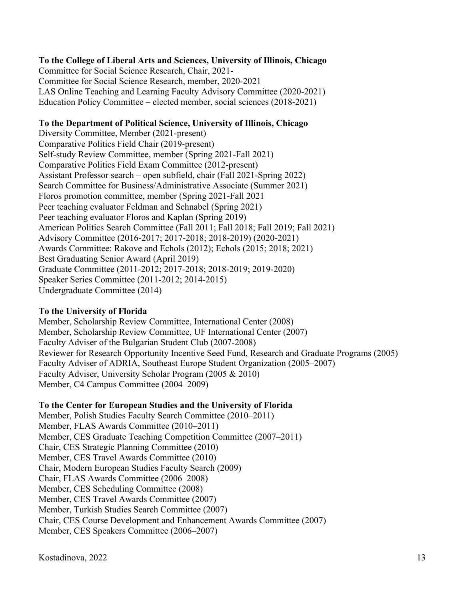## **To the College of Liberal Arts and Sciences, University of Illinois, Chicago**

Committee for Social Science Research, Chair, 2021- Committee for Social Science Research, member, 2020-2021 LAS Online Teaching and Learning Faculty Advisory Committee (2020-2021) Education Policy Committee – elected member, social sciences (2018-2021)

#### **To the Department of Political Science, University of Illinois, Chicago**

Diversity Committee, Member (2021-present) Comparative Politics Field Chair (2019-present) Self-study Review Committee, member (Spring 2021-Fall 2021) Comparative Politics Field Exam Committee (2012-present) Assistant Professor search – open subfield, chair (Fall 2021-Spring 2022) Search Committee for Business/Administrative Associate (Summer 2021) Floros promotion committee, member (Spring 2021-Fall 2021 Peer teaching evaluator Feldman and Schnabel (Spring 2021) Peer teaching evaluator Floros and Kaplan (Spring 2019) American Politics Search Committee (Fall 2011; Fall 2018; Fall 2019; Fall 2021) Advisory Committee (2016-2017; 2017-2018; 2018-2019) (2020-2021) Awards Committee: Rakove and Echols (2012); Echols (2015; 2018; 2021) Best Graduating Senior Award (April 2019) Graduate Committee (2011-2012; 2017-2018; 2018-2019; 2019-2020) Speaker Series Committee (2011-2012; 2014-2015) Undergraduate Committee (2014)

## **To the University of Florida**

Member, Scholarship Review Committee, International Center (2008) Member, Scholarship Review Committee, UF International Center (2007) Faculty Adviser of the Bulgarian Student Club (2007-2008) Reviewer for Research Opportunity Incentive Seed Fund, Research and Graduate Programs (2005) Faculty Adviser of ADRIA, Southeast Europe Student Organization (2005–2007) Faculty Adviser, University Scholar Program (2005 & 2010) Member, C4 Campus Committee (2004–2009)

## **To the Center for European Studies and the University of Florida**

Member, Polish Studies Faculty Search Committee (2010–2011) Member, FLAS Awards Committee (2010–2011) Member, CES Graduate Teaching Competition Committee (2007–2011) Chair, CES Strategic Planning Committee (2010) Member, CES Travel Awards Committee (2010) Chair, Modern European Studies Faculty Search (2009) Chair, FLAS Awards Committee (2006–2008) Member, CES Scheduling Committee (2008) Member, CES Travel Awards Committee (2007) Member, Turkish Studies Search Committee (2007) Chair, CES Course Development and Enhancement Awards Committee (2007) Member, CES Speakers Committee (2006–2007)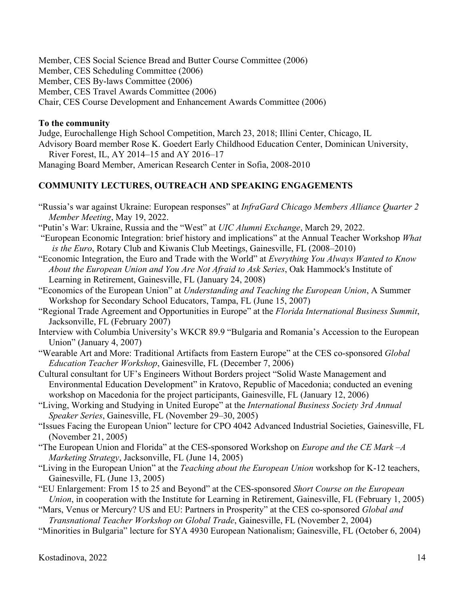Member, CES Social Science Bread and Butter Course Committee (2006) Member, CES Scheduling Committee (2006) Member, CES By-laws Committee (2006) Member, CES Travel Awards Committee (2006) Chair, CES Course Development and Enhancement Awards Committee (2006)

#### **To the community**

Judge, Eurochallenge High School Competition, March 23, 2018; Illini Center, Chicago, IL Advisory Board member Rose K. Goedert Early Childhood Education Center, Dominican University, River Forest, IL, AY 2014–15 and AY 2016–17 Managing Board Member, American Research Center in Sofia, 2008-2010

## **COMMUNITY LECTURES, OUTREACH AND SPEAKING ENGAGEMENTS**

"Russia's war against Ukraine: European responses" at *InfraGard Chicago Members Alliance Quarter 2 Member Meeting*, May 19, 2022.

"Putin's War: Ukraine, Russia and the "West" at *UIC Alumni Exchange*, March 29, 2022.

- "European Economic Integration: brief history and implications" at the Annual Teacher Workshop *What is the Euro*, Rotary Club and Kiwanis Club Meetings, Gainesville, FL (2008–2010)
- "Economic Integration, the Euro and Trade with the World" at *Everything You Always Wanted to Know About the European Union and You Are Not Afraid to Ask Series*, Oak Hammock's Institute of Learning in Retirement, Gainesville, FL (January 24, 2008)
- "Economics of the European Union" at *Understanding and Teaching the European Union*, A Summer Workshop for Secondary School Educators, Tampa, FL (June 15, 2007)
- "Regional Trade Agreement and Opportunities in Europe" at the *Florida International Business Summit*, Jacksonville, FL (February 2007)
- Interview with Columbia University's WKCR 89.9 "Bulgaria and Romania's Accession to the European Union" (January 4, 2007)
- "Wearable Art and More: Traditional Artifacts from Eastern Europe" at the CES co-sponsored *Global Education Teacher Workshop*, Gainesville, FL (December 7, 2006)
- Cultural consultant for UF's Engineers Without Borders project "Solid Waste Management and Environmental Education Development" in Kratovo, Republic of Macedonia; conducted an evening workshop on Macedonia for the project participants, Gainesville, FL (January 12, 2006)
- "Living, Working and Studying in United Europe" at the *International Business Society 3rd Annual Speaker Series*, Gainesville, FL (November 29–30, 2005)
- "Issues Facing the European Union" lecture for CPO 4042 Advanced Industrial Societies, Gainesville, FL (November 21, 2005)
- "The European Union and Florida" at the CES-sponsored Workshop on *Europe and the CE Mark –A Marketing Strategy*, Jacksonville, FL (June 14, 2005)
- "Living in the European Union" at the *Teaching about the European Union* workshop for K-12 teachers, Gainesville, FL (June 13, 2005)
- "EU Enlargement: From 15 to 25 and Beyond" at the CES-sponsored *Short Course on the European Union*, in cooperation with the Institute for Learning in Retirement, Gainesville, FL (February 1, 2005)

"Mars, Venus or Mercury? US and EU: Partners in Prosperity" at the CES co-sponsored *Global and Transnational Teacher Workshop on Global Trade*, Gainesville, FL (November 2, 2004)

"Minorities in Bulgaria" lecture for SYA 4930 European Nationalism; Gainesville, FL (October 6, 2004)